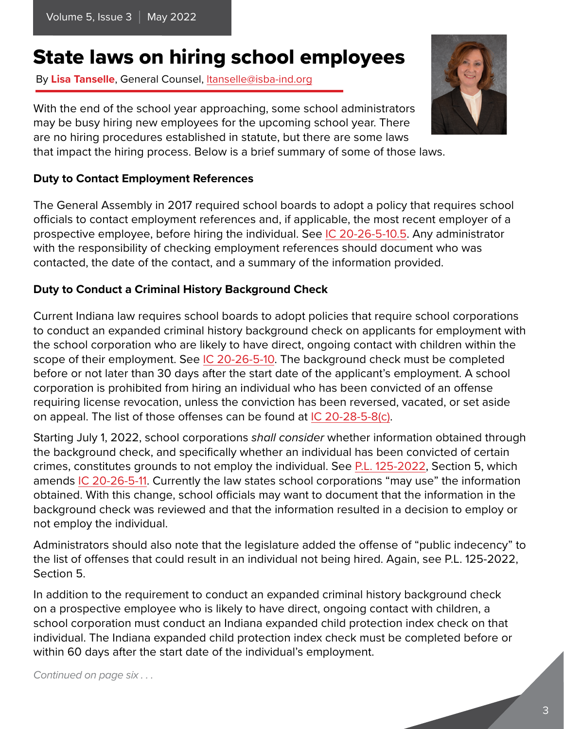# State laws on hiring school employees

By **Lisa Tanselle**, General Counsel, ltansell[e@isba-ind.org](mailto:tspradlin%40isba-ind.org?subject=)

With the end of the school year approaching, some school administrators may be busy hiring new employees for the upcoming school year. There are no hiring procedures established in statute, but there are some laws that impact the hiring process. Below is a brief summary of some of those laws.

#### **Duty to Contact Employment References**

The General Assembly in 2017 required school boards to adopt a policy that requires school officials to contact employment references and, if applicable, the most recent employer of a prospective employee, before hiring the individual. See [IC 20-26-5-10.5.](http://iga.in.gov/legislative/laws/2020/ic/titles/020#20-26-5-10.5) Any administrator with the responsibility of checking employment references should document who was contacted, the date of the contact, and a summary of the information provided.

### **Duty to Conduct a Criminal History Background Check**

Current Indiana law requires school boards to adopt policies that require school corporations to conduct an expanded criminal history background check on applicants for employment with the school corporation who are likely to have direct, ongoing contact with children within the scope of their employment. See [IC 20-26-5-10.](http://iga.in.gov/legislative/laws/2020/ic/titles/020#20-26-5-10) The background check must be completed before or not later than 30 days after the start date of the applicant's employment. A school corporation is prohibited from hiring an individual who has been convicted of an offense requiring license revocation, unless the conviction has been reversed, vacated, or set aside on appeal. The list of those offenses can be found at [IC 20-28-5-8\(c\).](http://iga.in.gov/legislative/laws/2020/ic/titles/020#20-28-5-8)

Starting July 1, 2022, school corporations *shall consider* whether information obtained through the background check, and specifically whether an individual has been convicted of certain crimes, constitutes grounds to not employ the individual. See [P.L. 125-2022](http://iga.in.gov/legislative/2022/bills/senate/115#document-1d0dab45), Section 5, which amends [IC 20-26-5-11](http://iga.in.gov/legislative/laws/2020/ic/titles/020#20-26-5-11). Currently the law states school corporations "may use" the information obtained. With this change, school officials may want to document that the information in the background check was reviewed and that the information resulted in a decision to employ or not employ the individual.

Administrators should also note that the legislature added the offense of "public indecency" to the list of offenses that could result in an individual not being hired. Again, see P.L. 125-2022, Section 5.

In addition to the requirement to conduct an expanded criminal history background check on a prospective employee who is likely to have direct, ongoing contact with children, a school corporation must conduct an Indiana expanded child protection index check on that individual. The Indiana expanded child protection index check must be completed before or within 60 days after the start date of the individual's employment.

*Continued on page six . . .*